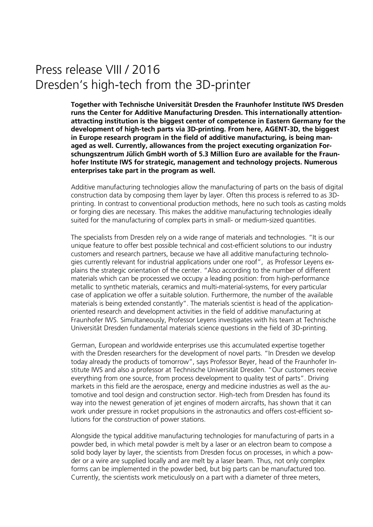## Press release VIII / 2016 Dresden's high-tech from the 3D-printer

**Together with Technische Universität Dresden the Fraunhofer Institute IWS Dresden runs the Center for Additive Manufacturing Dresden. This internationally attentionattracting institution is the biggest center of competence in Eastern Germany for the development of high-tech parts via 3D-printing. From here, AGENT-3D, the biggest in Europe research program in the field of additive manufacturing, is being managed as well. Currently, allowances from the project executing organization Forschungszentrum Jülich GmbH worth of 5.3 Million Euro are available for the Fraunhofer Institute IWS for strategic, management and technology projects. Numerous enterprises take part in the program as well.**

Additive manufacturing technologies allow the manufacturing of parts on the basis of digital construction data by composing them layer by layer. Often this process is referred to as 3Dprinting. In contrast to conventional production methods, here no such tools as casting molds or forging dies are necessary. This makes the additive manufacturing technologies ideally suited for the manufacturing of complex parts in small- or medium-sized quantities.

The specialists from Dresden rely on a wide range of materials and technologies. "It is our unique feature to offer best possible technical and cost-efficient solutions to our industry customers and research partners, because we have all additive manufacturing technologies currently relevant for industrial applications under one roof", as Professor Leyens explains the strategic orientation of the center. "Also according to the number of different materials which can be processed we occupy a leading position: from high-performance metallic to synthetic materials, ceramics and multi-material-systems, for every particular case of application we offer a suitable solution. Furthermore, the number of the available materials is being extended constantly". The materials scientist is head of the applicationoriented research and development activities in the field of additive manufacturing at Fraunhofer IWS. Simultaneously, Professor Leyens investigates with his team at Technische Universität Dresden fundamental materials science questions in the field of 3D-printing.

German, European and worldwide enterprises use this accumulated expertise together with the Dresden researchers for the development of novel parts. "In Dresden we develop today already the products of tomorrow", says Professor Beyer, head of the Fraunhofer Institute IWS and also a professor at Technische Universität Dresden. "Our customers receive everything from one source, from process development to quality test of parts". Driving markets in this field are the aerospace, energy and medicine industries as well as the automotive and tool design and construction sector. High-tech from Dresden has found its way into the newest generation of jet engines of modern aircrafts, has shown that it can work under pressure in rocket propulsions in the astronautics and offers cost-efficient solutions for the construction of power stations.

Alongside the typical additive manufacturing technologies for manufacturing of parts in a powder bed, in which metal powder is melt by a laser or an electron beam to compose a solid body layer by layer, the scientists from Dresden focus on processes, in which a powder or a wire are supplied locally and are melt by a laser beam. Thus, not only complex forms can be implemented in the powder bed, but big parts can be manufactured too. Currently, the scientists work meticulously on a part with a diameter of three meters,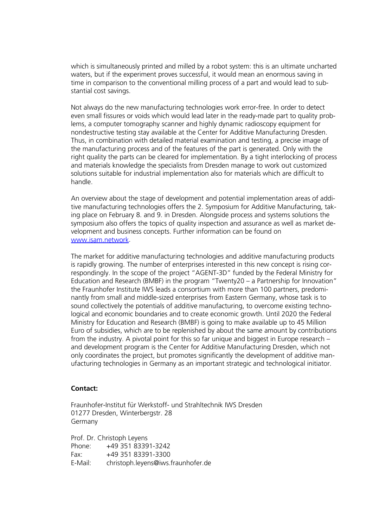which is simultaneously printed and milled by a robot system: this is an ultimate uncharted waters, but if the experiment proves successful, it would mean an enormous saving in time in comparison to the conventional milling process of a part and would lead to substantial cost savings.

Not always do the new manufacturing technologies work error-free. In order to detect even small fissures or voids which would lead later in the ready-made part to quality problems, a computer tomography scanner and highly dynamic radioscopy equipment for nondestructive testing stay available at the Center for Additive Manufacturing Dresden. Thus, in combination with detailed material examination and testing, a precise image of the manufacturing process and of the features of the part is generated. Only with the right quality the parts can be cleared for implementation. By a tight interlocking of process and materials knowledge the specialists from Dresden manage to work out customized solutions suitable for industrial implementation also for materials which are difficult to handle.

An overview about the stage of development and potential implementation areas of additive manufacturing technologies offers the 2. Symposium for Additive Manufacturing, taking place on February 8. and 9. in Dresden. Alongside process and systems solutions the symposium also offers the topics of quality inspection and assurance as well as market development and business concepts. Further information can be found on [www.isam.network.](http://www.isam.network/)

The market for additive manufacturing technologies and additive manufacturing products is rapidly growing. The number of enterprises interested in this new concept is rising correspondingly. In the scope of the project "AGENT-3D" funded by the Federal Ministry for Education and Research (BMBF) in the program "Twenty20 – a Partnership for Innovation" the Fraunhofer Institute IWS leads a consortium with more than 100 partners, predominantly from small and middle-sized enterprises from Eastern Germany, whose task is to sound collectively the potentials of additive manufacturing, to overcome existing technological and economic boundaries and to create economic growth. Until 2020 the Federal Ministry for Education and Research (BMBF) is going to make available up to 45 Million Euro of subsidies, which are to be replenished by about the same amount by contributions from the industry. A pivotal point for this so far unique and biggest in Europe research – and development program is the Center for Additive Manufacturing Dresden, which not only coordinates the project, but promotes significantly the development of additive manufacturing technologies in Germany as an important strategic and technological initiator.

## **Contact:**

Fraunhofer-Institut für Werkstoff- und Strahltechnik IWS Dresden 01277 Dresden, Winterbergstr. 28 Germany

Prof. Dr. Christoph Leyens Phone: +49 351 83391-3242 Fax: +49 351 83391-3300 E-Mail: christoph.leyens@iws.fraunhofer.de